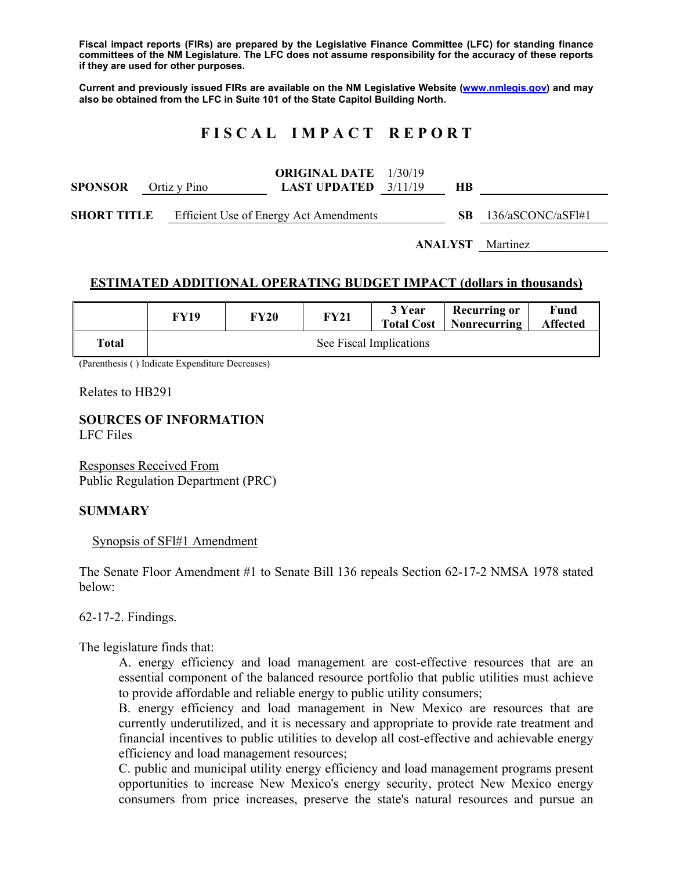**Fiscal impact reports (FIRs) are prepared by the Legislative Finance Committee (LFC) for standing finance committees of the NM Legislature. The LFC does not assume responsibility for the accuracy of these reports if they are used for other purposes.** 

**Current and previously issued FIRs are available on the NM Legislative Website (www.nmlegis.gov) and may also be obtained from the LFC in Suite 101 of the State Capitol Building North.** 

# **F I S C A L I M P A C T R E P O R T**

| <b>SPONSOR</b>     |  | Ortiz y Pino | <b>ORIGINAL DATE</b> 1/30/19<br><b>LAST UPDATED</b> $3/11/19$ | HВ  |                   |
|--------------------|--|--------------|---------------------------------------------------------------|-----|-------------------|
| <b>SHORT TITLE</b> |  |              | Efficient Use of Energy Act Amendments                        | SB. | 136/aSCONC/aSF1#1 |

**ANALYST** Martinez

#### **ESTIMATED ADDITIONAL OPERATING BUDGET IMPACT (dollars in thousands)**

|       | FY19                    | <b>FY20</b> | <b>FY21</b> | 3 Year | <b>Recurring or</b><br><b>Total Cost</b>   Nonrecurring | Fund<br><b>Affected</b> |  |  |
|-------|-------------------------|-------------|-------------|--------|---------------------------------------------------------|-------------------------|--|--|
| Total | See Fiscal Implications |             |             |        |                                                         |                         |  |  |

(Parenthesis ( ) Indicate Expenditure Decreases)

Relates to HB291

# **SOURCES OF INFORMATION**

LFC Files

Responses Received From Public Regulation Department (PRC)

#### **SUMMARY**

Synopsis of SFl#1 Amendment

The Senate Floor Amendment #1 to Senate Bill 136 repeals Section 62-17-2 NMSA 1978 stated below:

62-17-2. Findings.

The legislature finds that:

A. energy efficiency and load management are cost-effective resources that are an essential component of the balanced resource portfolio that public utilities must achieve to provide affordable and reliable energy to public utility consumers;

B. energy efficiency and load management in New Mexico are resources that are currently underutilized, and it is necessary and appropriate to provide rate treatment and financial incentives to public utilities to develop all cost-effective and achievable energy efficiency and load management resources;

C. public and municipal utility energy efficiency and load management programs present opportunities to increase New Mexico's energy security, protect New Mexico energy consumers from price increases, preserve the state's natural resources and pursue an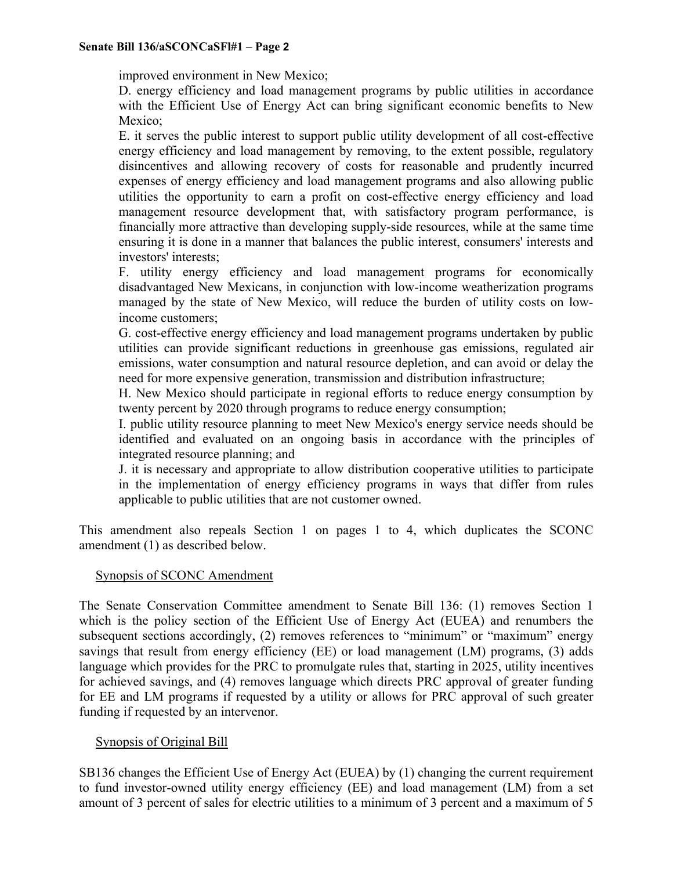improved environment in New Mexico;

D. energy efficiency and load management programs by public utilities in accordance with the Efficient Use of Energy Act can bring significant economic benefits to New Mexico;

E. it serves the public interest to support public utility development of all cost-effective energy efficiency and load management by removing, to the extent possible, regulatory disincentives and allowing recovery of costs for reasonable and prudently incurred expenses of energy efficiency and load management programs and also allowing public utilities the opportunity to earn a profit on cost-effective energy efficiency and load management resource development that, with satisfactory program performance, is financially more attractive than developing supply-side resources, while at the same time ensuring it is done in a manner that balances the public interest, consumers' interests and investors' interests;

F. utility energy efficiency and load management programs for economically disadvantaged New Mexicans, in conjunction with low-income weatherization programs managed by the state of New Mexico, will reduce the burden of utility costs on lowincome customers;

G. cost-effective energy efficiency and load management programs undertaken by public utilities can provide significant reductions in greenhouse gas emissions, regulated air emissions, water consumption and natural resource depletion, and can avoid or delay the need for more expensive generation, transmission and distribution infrastructure;

H. New Mexico should participate in regional efforts to reduce energy consumption by twenty percent by 2020 through programs to reduce energy consumption;

I. public utility resource planning to meet New Mexico's energy service needs should be identified and evaluated on an ongoing basis in accordance with the principles of integrated resource planning; and

J. it is necessary and appropriate to allow distribution cooperative utilities to participate in the implementation of energy efficiency programs in ways that differ from rules applicable to public utilities that are not customer owned.

This amendment also repeals Section 1 on pages 1 to 4, which duplicates the SCONC amendment (1) as described below.

## Synopsis of SCONC Amendment

The Senate Conservation Committee amendment to Senate Bill 136: (1) removes Section 1 which is the policy section of the Efficient Use of Energy Act (EUEA) and renumbers the subsequent sections accordingly, (2) removes references to "minimum" or "maximum" energy savings that result from energy efficiency (EE) or load management (LM) programs, (3) adds language which provides for the PRC to promulgate rules that, starting in 2025, utility incentives for achieved savings, and (4) removes language which directs PRC approval of greater funding for EE and LM programs if requested by a utility or allows for PRC approval of such greater funding if requested by an intervenor.

## Synopsis of Original Bill

SB136 changes the Efficient Use of Energy Act (EUEA) by (1) changing the current requirement to fund investor-owned utility energy efficiency (EE) and load management (LM) from a set amount of 3 percent of sales for electric utilities to a minimum of 3 percent and a maximum of 5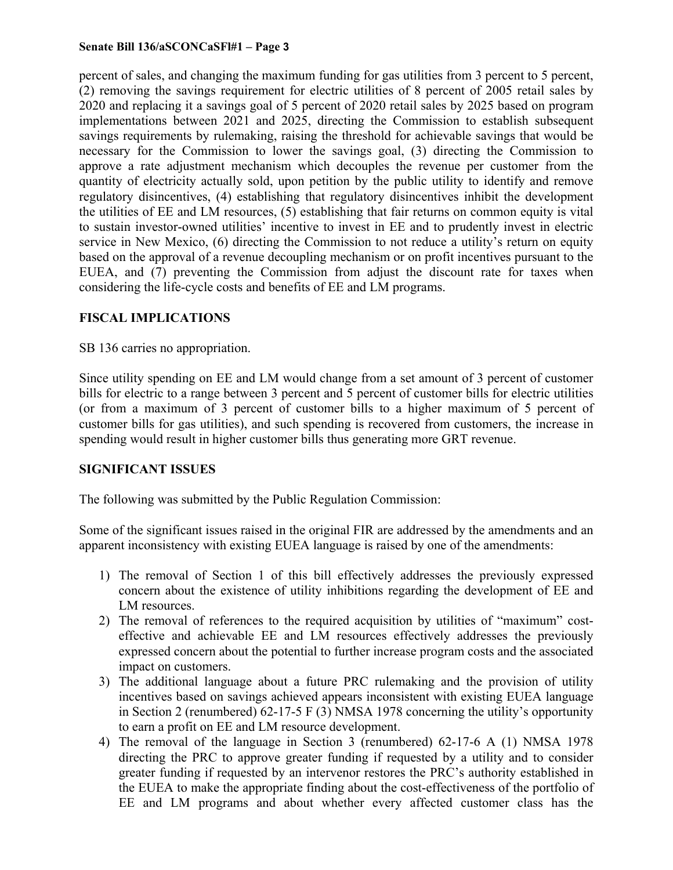#### **Senate Bill 136/aSCONCaSFl#1 – Page 3**

percent of sales, and changing the maximum funding for gas utilities from 3 percent to 5 percent, (2) removing the savings requirement for electric utilities of 8 percent of 2005 retail sales by 2020 and replacing it a savings goal of 5 percent of 2020 retail sales by 2025 based on program implementations between 2021 and 2025, directing the Commission to establish subsequent savings requirements by rulemaking, raising the threshold for achievable savings that would be necessary for the Commission to lower the savings goal, (3) directing the Commission to approve a rate adjustment mechanism which decouples the revenue per customer from the quantity of electricity actually sold, upon petition by the public utility to identify and remove regulatory disincentives, (4) establishing that regulatory disincentives inhibit the development the utilities of EE and LM resources, (5) establishing that fair returns on common equity is vital to sustain investor-owned utilities' incentive to invest in EE and to prudently invest in electric service in New Mexico, (6) directing the Commission to not reduce a utility's return on equity based on the approval of a revenue decoupling mechanism or on profit incentives pursuant to the EUEA, and (7) preventing the Commission from adjust the discount rate for taxes when considering the life-cycle costs and benefits of EE and LM programs.

## **FISCAL IMPLICATIONS**

SB 136 carries no appropriation.

Since utility spending on EE and LM would change from a set amount of 3 percent of customer bills for electric to a range between 3 percent and 5 percent of customer bills for electric utilities (or from a maximum of 3 percent of customer bills to a higher maximum of 5 percent of customer bills for gas utilities), and such spending is recovered from customers, the increase in spending would result in higher customer bills thus generating more GRT revenue.

## **SIGNIFICANT ISSUES**

The following was submitted by the Public Regulation Commission:

Some of the significant issues raised in the original FIR are addressed by the amendments and an apparent inconsistency with existing EUEA language is raised by one of the amendments:

- 1) The removal of Section 1 of this bill effectively addresses the previously expressed concern about the existence of utility inhibitions regarding the development of EE and LM resources.
- 2) The removal of references to the required acquisition by utilities of "maximum" costeffective and achievable EE and LM resources effectively addresses the previously expressed concern about the potential to further increase program costs and the associated impact on customers.
- 3) The additional language about a future PRC rulemaking and the provision of utility incentives based on savings achieved appears inconsistent with existing EUEA language in Section 2 (renumbered) 62-17-5 F (3) NMSA 1978 concerning the utility's opportunity to earn a profit on EE and LM resource development.
- 4) The removal of the language in Section 3 (renumbered) 62-17-6 A (1) NMSA 1978 directing the PRC to approve greater funding if requested by a utility and to consider greater funding if requested by an intervenor restores the PRC's authority established in the EUEA to make the appropriate finding about the cost-effectiveness of the portfolio of EE and LM programs and about whether every affected customer class has the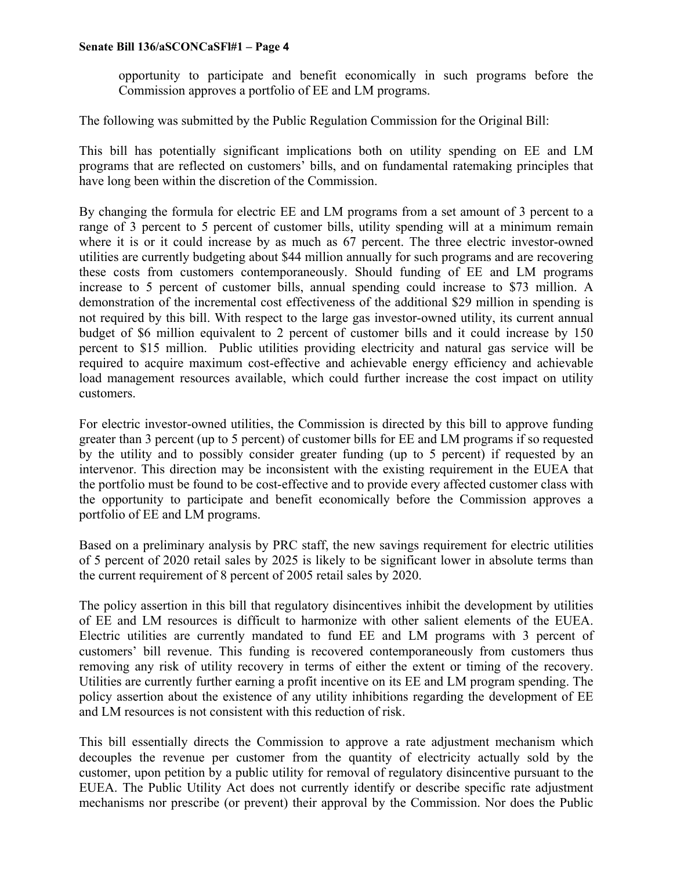#### **Senate Bill 136/aSCONCaSFl#1 – Page 4**

opportunity to participate and benefit economically in such programs before the Commission approves a portfolio of EE and LM programs.

The following was submitted by the Public Regulation Commission for the Original Bill:

This bill has potentially significant implications both on utility spending on EE and LM programs that are reflected on customers' bills, and on fundamental ratemaking principles that have long been within the discretion of the Commission.

By changing the formula for electric EE and LM programs from a set amount of 3 percent to a range of 3 percent to 5 percent of customer bills, utility spending will at a minimum remain where it is or it could increase by as much as 67 percent. The three electric investor-owned utilities are currently budgeting about \$44 million annually for such programs and are recovering these costs from customers contemporaneously. Should funding of EE and LM programs increase to 5 percent of customer bills, annual spending could increase to \$73 million. A demonstration of the incremental cost effectiveness of the additional \$29 million in spending is not required by this bill. With respect to the large gas investor-owned utility, its current annual budget of \$6 million equivalent to 2 percent of customer bills and it could increase by 150 percent to \$15 million. Public utilities providing electricity and natural gas service will be required to acquire maximum cost-effective and achievable energy efficiency and achievable load management resources available, which could further increase the cost impact on utility customers.

For electric investor-owned utilities, the Commission is directed by this bill to approve funding greater than 3 percent (up to 5 percent) of customer bills for EE and LM programs if so requested by the utility and to possibly consider greater funding (up to 5 percent) if requested by an intervenor. This direction may be inconsistent with the existing requirement in the EUEA that the portfolio must be found to be cost-effective and to provide every affected customer class with the opportunity to participate and benefit economically before the Commission approves a portfolio of EE and LM programs.

Based on a preliminary analysis by PRC staff, the new savings requirement for electric utilities of 5 percent of 2020 retail sales by 2025 is likely to be significant lower in absolute terms than the current requirement of 8 percent of 2005 retail sales by 2020.

The policy assertion in this bill that regulatory disincentives inhibit the development by utilities of EE and LM resources is difficult to harmonize with other salient elements of the EUEA. Electric utilities are currently mandated to fund EE and LM programs with 3 percent of customers' bill revenue. This funding is recovered contemporaneously from customers thus removing any risk of utility recovery in terms of either the extent or timing of the recovery. Utilities are currently further earning a profit incentive on its EE and LM program spending. The policy assertion about the existence of any utility inhibitions regarding the development of EE and LM resources is not consistent with this reduction of risk.

This bill essentially directs the Commission to approve a rate adjustment mechanism which decouples the revenue per customer from the quantity of electricity actually sold by the customer, upon petition by a public utility for removal of regulatory disincentive pursuant to the EUEA. The Public Utility Act does not currently identify or describe specific rate adjustment mechanisms nor prescribe (or prevent) their approval by the Commission. Nor does the Public